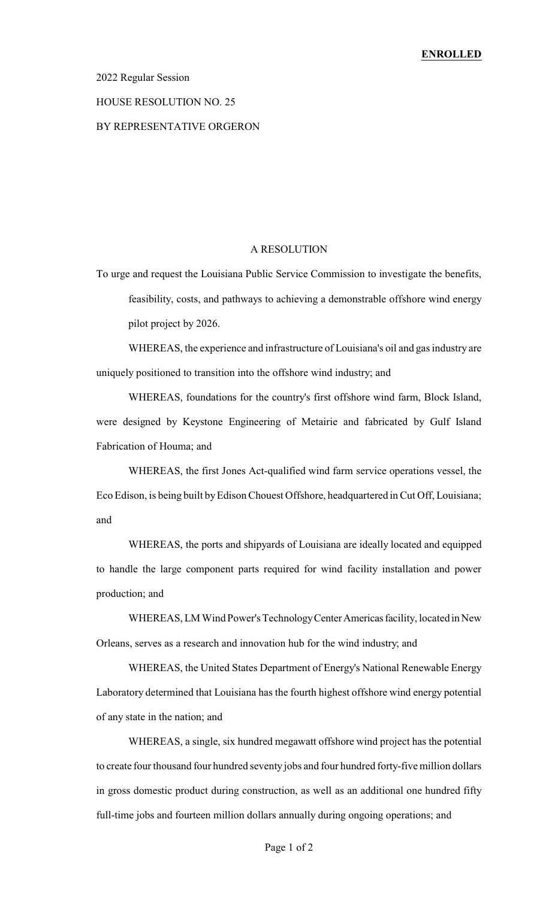## 2022 Regular Session

#### HOUSE RESOLUTION NO. 25

# BY REPRESENTATIVE ORGERON

## A RESOLUTION

To urge and request the Louisiana Public Service Commission to investigate the benefits, feasibility, costs, and pathways to achieving a demonstrable offshore wind energy pilot project by 2026.

WHEREAS, the experience and infrastructure of Louisiana's oil and gas industry are uniquely positioned to transition into the offshore wind industry; and

WHEREAS, foundations for the country's first offshore wind farm, Block Island, were designed by Keystone Engineering of Metairie and fabricated by Gulf Island Fabrication of Houma; and

WHEREAS, the first Jones Act-qualified wind farm service operations vessel, the Eco Edison, is being built byEdison Chouest Offshore, headquartered in Cut Off, Louisiana; and

WHEREAS, the ports and shipyards of Louisiana are ideally located and equipped to handle the large component parts required for wind facility installation and power production; and

WHEREAS, LM Wind Power's Technology Center Americas facility, located in New Orleans, serves as a research and innovation hub for the wind industry; and

WHEREAS, the United States Department of Energy's National Renewable Energy Laboratory determined that Louisiana has the fourth highest offshore wind energy potential of any state in the nation; and

WHEREAS, a single, six hundred megawatt offshore wind project has the potential to create four thousand four hundred seventy jobs and four hundred forty-five million dollars in gross domestic product during construction, as well as an additional one hundred fifty full-time jobs and fourteen million dollars annually during ongoing operations; and